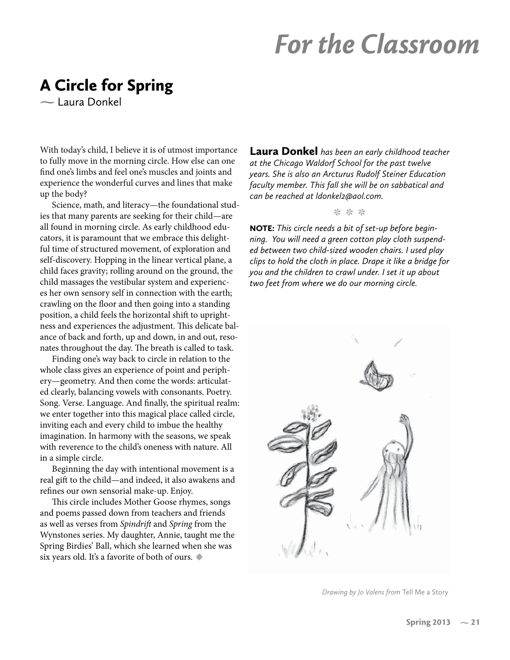## *For the Classroom*

# A Circle for Spring **-** Laura Donkel

With today's child, I believe it is of utmost importance to fully move in the morning circle. How else can one find one's limbs and feel one's muscles and joints and experience the wonderful curves and lines that make up the body?

Science, math, and literacy—the foundational studies that many parents are seeking for their child—are all found in morning circle. As early childhood educators, it is paramount that we embrace this delightful time of structured movement, of exploration and self-discovery. Hopping in the linear vertical plane, a child faces gravity; rolling around on the ground, the child massages the vestibular system and experiences her own sensory self in connection with the earth; crawling on the floor and then going into a standing position, a child feels the horizontal shift to uprightness and experiences the adjustment. This delicate balance of back and forth, up and down, in and out, resonates throughout the day. The breath is called to task.

Finding one's way back to circle in relation to the whole class gives an experience of point and periphery—geometry. And then come the words: articulated clearly, balancing vowels with consonants. Poetry. Song. Verse. Language. And finally, the spiritual realm: we enter together into this magical place called circle, inviting each and every child to imbue the healthy imagination. In harmony with the seasons, we speak with reverence to the child's oneness with nature. All in a simple circle.

Beginning the day with intentional movement is a real gift to the child—and indeed, it also awakens and refines our own sensorial make-up. Enjoy.

This circle includes Mother Goose rhymes, songs and poems passed down from teachers and friends as well as verses from Spindrift and Spring from the Wynstones series. My daughter, Annie, taught me the Spring Birdies' Ball, which she learned when she was six years old. It's a favorite of both of ours. **•**

Laura Donkel *has been an early childhood teacher at the Chicago Waldorf School for the past twelve years. She is also an Arcturus Rudolf Steiner Education faculty member. This fall she will be on sabbatical and can be reached at ldonkel2@aol.com.*

**\* \* \***

NOTE: *This circle needs a bit of set-up before beginning. You will need a green cotton play cloth suspended between two child-sized wooden chairs. I used play clips to hold the cloth in place. Drape it like a bridge for you and the children to crawl under. I set it up about two feet from where we do our morning circle.* 



*Drawing by Jo Valens from* Tell Me a Story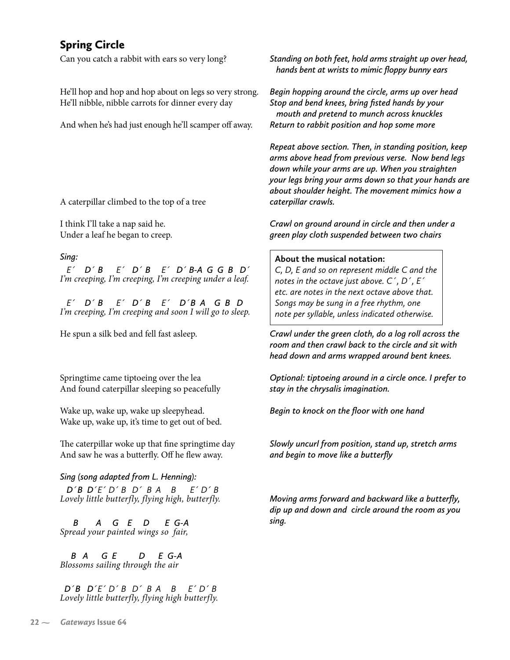Can you catch a rabbit with ears so very long?

He'll hop and hop and hop about on legs so very strong. He'll nibble, nibble carrots for dinner every day

And when he's had just enough he'll scamper off away.

A caterpillar climbed to the top of a tree

I think I'll take a nap said he. Under a leaf he began to creep.

#### *Sing:*

 *E´ D´ B E´ D´ B E´ D´ B-A G G B D´* I'm creeping, I'm creeping, I'm creeping under a leaf.

 *E´ D´ B E´ D´ B E´ D´B A G B D* I'm creeping, I'm creeping and soon I will go to sleep.

He spun a silk bed and fell fast asleep.

Springtime came tiptoeing over the lea And found caterpillar sleeping so peacefully

Wake up, wake up, wake up sleepyhead. Wake up, wake up, it's time to get out of bed.

The caterpillar woke up that fine springtime day And saw he was a butterfly. Off he flew away.

### *Sing (song adapted from L. Henning):*

*<sup>D</sup>´B D´E´ D´ B D´ B A B E´ D´ B* Lovely little butterfly, flying high, butterfly.

 *B A G E D E G-A* Spread your painted wings so fair,

 *B A G E D E G-A* Blossoms sailing through the air

 *D´B D´E´ D´ B D´ B A B E´ D´ B* Lovely little butterfly, flying high butterfly. *Standing on both feet, hold arms straight up over head, hands bent at wrists to mimic floppy bunny ears*

*Begin hopping around the circle, arms up over head Stop and bend knees, bring fisted hands by your mouth and pretend to munch across knuckles Return to rabbit position and hop some more*

*Repeat above section. Then, in standing position, keep arms above head from previous verse. Now bend legs down while your arms are up. When you straighten your legs bring your arms down so that your hands are about shoulder height. The movement mimics how a caterpillar crawls.*

*Crawl on ground around in circle and then under a green play cloth suspended between two chairs*

#### **About the musical notation:**

*C, D, E and so on represent middle C and the notes in the octave just above. C´, D´, E´ etc. are notes in the next octave above that. Songs may be sung in a free rhythm, one note per syllable, unless indicated otherwise.*

*Crawl under the green cloth, do a log roll across the room and then crawl back to the circle and sit with head down and arms wrapped around bent knees.*

*Optional: tiptoeing around in a circle once. I prefer to stay in the chrysalis imagination.*

*Begin to knock on the floor with one hand*

*Slowly uncurl from position, stand up, stretch arms and begin to move like a butterfly*

*Moving arms forward and backward like a butterfly, dip up and down and circle around the room as you sing.*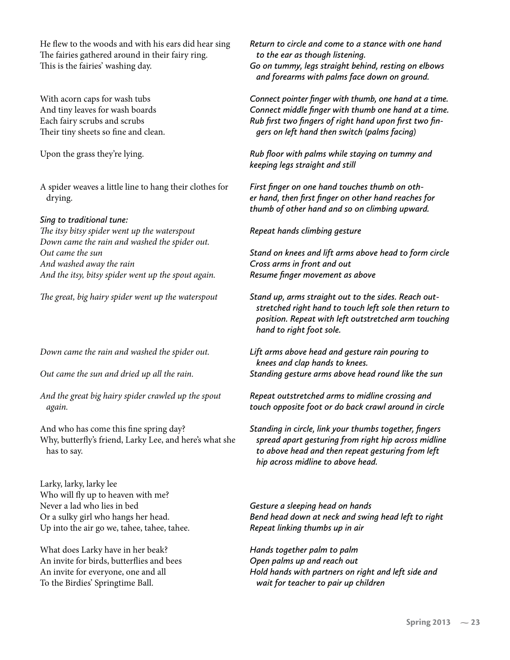He flew to the woods and with his ears did hear sing The fairies gathered around in their fairy ring. This is the fairies' washing day.

With acorn caps for wash tubs And tiny leaves for wash boards Each fairy scrubs and scrubs Their tiny sheets so fine and clean.

Upon the grass they're lying.

A spider weaves a little line to hang their clothes for drying.

#### *Sing to traditional tune:*

The itsy bitsy spider went up the waterspout Down came the rain and washed the spider out. Out came the sun And washed away the rain And the itsy, bitsy spider went up the spout again.

The great, big hairy spider went up the waterspout

Down came the rain and washed the spider out.

Out came the sun and dried up all the rain.

And the great big hairy spider crawled up the spout again.

And who has come this fine spring day? Why, butterfly's friend, Larky Lee, and here's what she has to say.

Larky, larky, larky lee Who will fly up to heaven with me? Never a lad who lies in bed Or a sulky girl who hangs her head. Up into the air go we, tahee, tahee, tahee.

What does Larky have in her beak? An invite for birds, butterflies and bees An invite for everyone, one and all To the Birdies' Springtime Ball.

*Return to circle and come to a stance with one hand to the ear as though listening. Go on tummy, legs straight behind, resting on elbows and forearms with palms face down on ground.*

*Connect pointer finger with thumb, one hand at a time. Connect middle finger with thumb one hand at a time. Rub first two fingers of right hand upon first two fin gers on left hand then switch (palms facing)*

*Rub floor with palms while staying on tummy and keeping legs straight and still*

*First finger on one hand touches thumb on other hand, then first finger on other hand reaches for thumb of other hand and so on climbing upward.*

*Repeat hands climbing gesture*

*Stand on knees and lift arms above head to form circle Cross arms in front and out Resume finger movement as above*

*Stand up, arms straight out to the sides. Reach out stretched right hand to touch left sole then return to position. Repeat with left outstretched arm touching hand to right foot sole.*

*Lift arms above head and gesture rain pouring to knees and clap hands to knees. Standing gesture arms above head round like the sun*

*Repeat outstretched arms to midline crossing and touch opposite foot or do back crawl around in circle*

*Standing in circle, link your thumbs together, fingers spread apart gesturing from right hip across midline to above head and then repeat gesturing from left hip across midline to above head.*

*Gesture a sleeping head on hands Bend head down at neck and swing head left to right Repeat linking thumbs up in air*

*Hands together palm to palm Open palms up and reach out Hold hands with partners on right and left side and wait for teacher to pair up children*